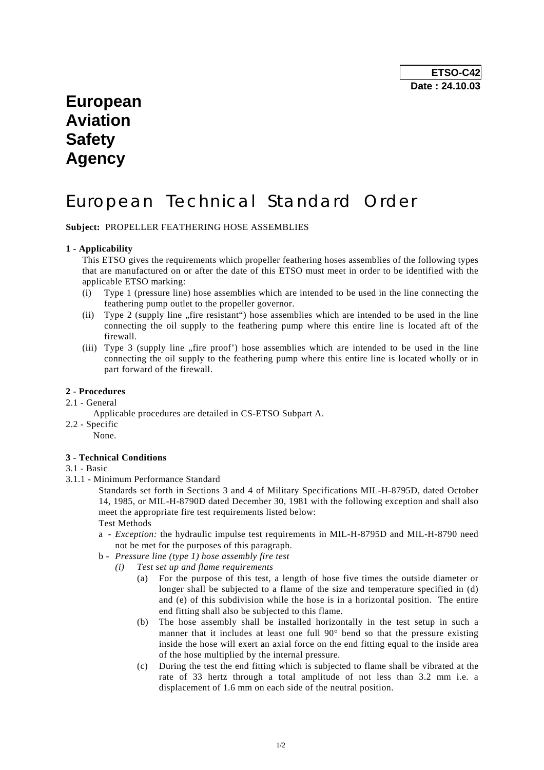## **European Aviation Safety Agency**

# European Technical Standard Order

**Subject:** PROPELLER FEATHERING HOSE ASSEMBLIES

#### **1 - Applicability**

 This ETSO gives the requirements which propeller feathering hoses assemblies of the following types that are manufactured on or after the date of this ETSO must meet in order to be identified with the applicable ETSO marking:

- (i) Type 1 (pressure line) hose assemblies which are intended to be used in the line connecting the feathering pump outlet to the propeller governor.
- (ii) Type 2 (supply line  $\pi$ , fire resistant") hose assemblies which are intended to be used in the line connecting the oil supply to the feathering pump where this entire line is located aft of the firewall.
- (iii) Type  $3$  (supply line  $n$ , fire proof') hose assemblies which are intended to be used in the line connecting the oil supply to the feathering pump where this entire line is located wholly or in part forward of the firewall.

#### **2 - Procedures**

### 2.1 - General

- Applicable procedures are detailed in CS-ETSO Subpart A.
- 2.2 Specific None.

#### **3 - Technical Conditions**

#### 3.1 - Basic

3.1.1 - Minimum Performance Standard

 Standards set forth in Sections 3 and 4 of Military Specifications MIL-H-8795D, dated October 14, 1985, or MIL-H-8790D dated December 30, 1981 with the following exception and shall also meet the appropriate fire test requirements listed below:

Test Methods

- a *Exception:* the hydraulic impulse test requirements in MIL-H-8795D and MIL-H-8790 need not be met for the purposes of this paragraph.
- b *Pressure line (type 1) hose assembly fire test* 
	- *(i) Test set up and flame requirements* 
		- (a) For the purpose of this test, a length of hose five times the outside diameter or longer shall be subjected to a flame of the size and temperature specified in (d) and (e) of this subdivision while the hose is in a horizontal position. The entire end fitting shall also be subjected to this flame.
		- (b) The hose assembly shall be installed horizontally in the test setup in such a manner that it includes at least one full 90° bend so that the pressure existing inside the hose will exert an axial force on the end fitting equal to the inside area of the hose multiplied by the internal pressure.
		- (c) During the test the end fitting which is subjected to flame shall be vibrated at the rate of 33 hertz through a total amplitude of not less than 3.2 mm i.e. a displacement of 1.6 mm on each side of the neutral position.